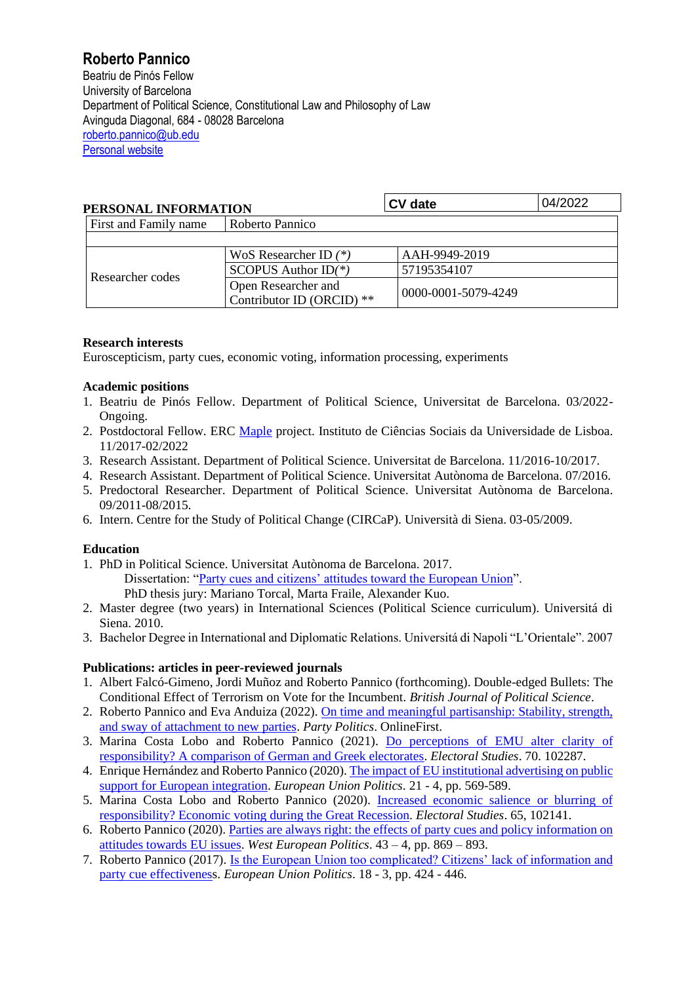# **Roberto Pannico**

Beatriu de Pinós Fellow University of Barcelona Department of Political Science, Constitutional Law and Philosophy of Law Avinguda Diagonal, 684 - 08028 Barcelona [roberto.pannico@ub.edu](mailto:roberto.pannico@ub.edu) [Personal website](https://robertopannico.weebly.com/)

| PERSONAL INFORMATION  |                                                  | <b>CV</b> date      | 04/2022 |
|-----------------------|--------------------------------------------------|---------------------|---------|
| First and Family name | Roberto Pannico                                  |                     |         |
|                       |                                                  |                     |         |
| Researcher codes      | WoS Researcher ID $(*)$<br>AAH-9949-2019         |                     |         |
|                       | SCOPUS Author $ID(*)$                            | 57195354107         |         |
|                       | Open Researcher and<br>Contributor ID (ORCID) ** | 0000-0001-5079-4249 |         |

# **Research interests**

Euroscepticism, party cues, economic voting, information processing, experiments

# **Academic positions**

- 1. Beatriu de Pinós Fellow. Department of Political Science, Universitat de Barcelona. 03/2022- Ongoing.
- 2. Postdoctoral Fellow. ERC [Maple](http://www.maple.ics.ulisboa.pt/) project. Instituto de Ciências Sociais da Universidade de Lisboa. 11/2017-02/2022
- 3. Research Assistant. Department of Political Science. Universitat de Barcelona. 11/2016-10/2017.
- 4. Research Assistant. Department of Political Science. Universitat Autònoma de Barcelona. 07/2016.
- 5. Predoctoral Researcher. Department of Political Science. Universitat Autònoma de Barcelona. 09/2011-08/2015.
- 6. Intern. Centre for the Study of Political Change (CIRCaP). Università di Siena. 03-05/2009.

# **Education**

- 1. PhD in Political Science. Universitat Autònoma de Barcelona. 2017. Dissertation: ["Party cues and citizens' attitudes toward the European Union"](https://www.tdx.cat/bitstream/handle/10803/456039/ropa1de1.pdf?sequence=1&isAllowed=y). PhD thesis jury: Mariano Torcal, Marta Fraile, Alexander Kuo.
- 2. Master degree (two years) in International Sciences (Political Science curriculum). Universitá di Siena. 2010.
- 3. Bachelor Degree in International and Diplomatic Relations. Universitá di Napoli "L'Orientale". 2007

# **Publications: articles in peer-reviewed journals**

- 1. Albert Falcó-Gimeno, Jordi Muñoz and Roberto Pannico (forthcoming). Double-edged Bullets: The Conditional Effect of Terrorism on Vote for the Incumbent*. British Journal of Political Science*.
- 2. Roberto Pannico and Eva Anduiza (2022)[. On time and meaningful partisanship: Stability, strength,](https://journals.sagepub.com/doi/full/10.1177/13540688221085235)  [and sway of attachment to new parties.](https://journals.sagepub.com/doi/full/10.1177/13540688221085235) *Party Politics*. OnlineFirst.
- 3. Marina Costa Lobo and Roberto Pannico (2021). [Do perceptions of EMU alter clarity of](https://www.sciencedirect.com/science/article/abs/pii/S0261379421000093)  [responsibility? A comparison of German and Greek electorates.](https://www.sciencedirect.com/science/article/abs/pii/S0261379421000093) *Electoral Studies*. 70. 102287.
- 4. Enrique Hernández and Roberto Pannico (2020). [The impact of EU institutional advertising on public](https://journals.sagepub.com/doi/abs/10.1177/1465116520935198?journalCode=eupa)  [support for European integration.](https://journals.sagepub.com/doi/abs/10.1177/1465116520935198?journalCode=eupa) *European Union Politics*. 21 - 4, pp. 569-589.
- 5. Marina Costa Lobo and Roberto Pannico (2020). [Increased economic salience or blurring of](https://www.sciencedirect.com/science/article/pii/S0261379420300263)  [responsibility? Economic voting during the Great Recession.](https://www.sciencedirect.com/science/article/pii/S0261379420300263) *Electoral Studies*. 65, 102141.
- 6. Roberto Pannico (2020)[. Parties are always right: the effects of party cues and policy information on](https://www.tandfonline.com/doi/full/10.1080/01402382.2019.1653658)  [attitudes towards EU issues.](https://www.tandfonline.com/doi/full/10.1080/01402382.2019.1653658) *West European Politics*. 43 – 4, pp. 869 – 893.
- 7. Roberto Pannico (2017). [Is the European Union too complicated? Citizens' lack of information and](https://journals.sagepub.com/doi/abs/10.1177/1465116517699892)  [party cue effectiveness](https://journals.sagepub.com/doi/abs/10.1177/1465116517699892). *European Union Politics*. 18 - 3, pp. 424 - 446.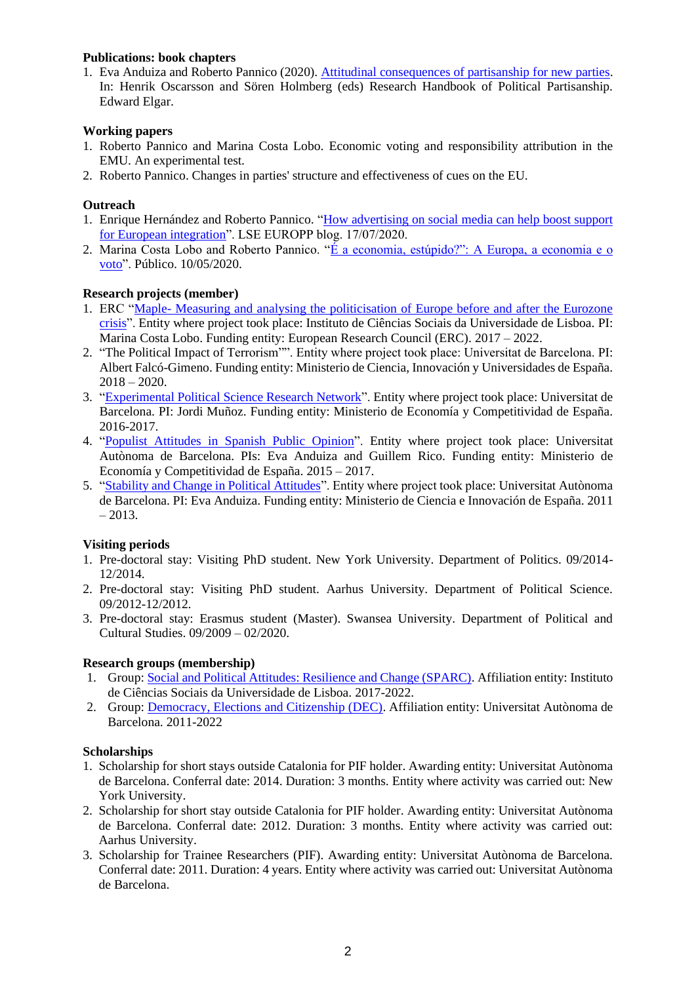## **Publications: book chapters**

1. Eva Anduiza and Roberto Pannico (2020). [Attitudinal consequences of partisanship for new parties.](https://www.elgaronline.com/view/edcoll/9781788111980/9781788111980.00029.xml) In: Henrik Oscarsson and Sören Holmberg (eds) Research Handbook of Political Partisanship. Edward Elgar.

## **Working papers**

- 1. Roberto Pannico and Marina Costa Lobo. Economic voting and responsibility attribution in the EMU. An experimental test.
- 2. Roberto Pannico. Changes in parties' structure and effectiveness of cues on the EU.

#### **Outreach**

- 1. Enrique Hernández and Roberto Pannico. ["How advertising on social media can help boost support](https://blogs.lse.ac.uk/europpblog/2020/07/17/how-advertising-on-social-media-can-help-boost-support-for-european-integration/)  [for European integration"](https://blogs.lse.ac.uk/europpblog/2020/07/17/how-advertising-on-social-media-can-help-boost-support-for-european-integration/). LSE EUROPP blog. 17/07/2020.
- 2. Marina Costa Lobo and Roberto Pannico. ["É a economia, estúpido?": A Europa, a economia e o](https://www.publico.pt/2020/05/10/politica/noticia/economia-estupido-europa-economia-voto-1915385)  [voto"](https://www.publico.pt/2020/05/10/politica/noticia/economia-estupido-europa-economia-voto-1915385). Público. 10/05/2020.

## **Research projects (member)**

- 1. ERC "Maple- [Measuring and analysing the politicisation of Europe before and after the Eurozone](http://www.maple.ics.ulisboa.pt/)  [crisis"](http://www.maple.ics.ulisboa.pt/). Entity where project took place: Instituto de Ciências Sociais da Universidade de Lisboa. PI: Marina Costa Lobo. Funding entity: European Research Council (ERC). 2017 – 2022.
- 2. "The Political Impact of Terrorism"". Entity where project took place: Universitat de Barcelona. PI: Albert Falcó-Gimeno. Funding entity: Ministerio de Ciencia, Innovación y Universidades de España.  $2018 - 2020.$
- 3. ["Experimental Political Science Research Network"](http://www.ub.edu/polexp/inicio-eng/). Entity where project took place: Universitat de Barcelona. PI: Jordi Muñoz. Funding entity: Ministerio de Economía y Competitividad de España. 2016-2017.
- 4. ["Populist Attitudes in Spanish Public Opinion"](http://grdec.uab.cat/index.php/populist-attitudes-in-spanish-public-opinion/). Entity where project took place: Universitat Autònoma de Barcelona. PIs: Eva Anduiza and Guillem Rico. Funding entity: Ministerio de Economía y Competitividad de España. 2015 – 2017.
- 5. ["Stability and Change in Political Attitudes"](http://grdec.uab.cat/index.php/stability-and-change-in-political-attitudes/). Entity where project took place: Universitat Autònoma de Barcelona. PI: Eva Anduiza. Funding entity: Ministerio de Ciencia e Innovación de España. 2011  $-2013.$

# **Visiting periods**

- 1. Pre-doctoral stay: Visiting PhD student. New York University. Department of Politics. 09/2014- 12/2014.
- 2. Pre-doctoral stay: Visiting PhD student. Aarhus University. Department of Political Science. 09/2012-12/2012.
- 3. Pre-doctoral stay: Erasmus student (Master). Swansea University. Department of Political and Cultural Studies. 09/2009 – 02/2020.

#### **Research groups (membership)**

- 1. Group[: Social and Political Attitudes: Resilience and Change \(SPARC\).](https://sparcics.wordpress.com/about/) Affiliation entity: Instituto de Ciências Sociais da Universidade de Lisboa. 2017-2022.
- 2. Group: [Democracy, Elections and Citizenship \(DEC\).](http://grdec.uab.cat/) Affiliation entity: Universitat Autònoma de Barcelona. 2011-2022

#### **Scholarships**

- 1. Scholarship for short stays outside Catalonia for PIF holder. Awarding entity: Universitat Autònoma de Barcelona. Conferral date: 2014. Duration: 3 months. Entity where activity was carried out: New York University.
- 2. Scholarship for short stay outside Catalonia for PIF holder. Awarding entity: Universitat Autònoma de Barcelona. Conferral date: 2012. Duration: 3 months. Entity where activity was carried out: Aarhus University.
- 3. Scholarship for Trainee Researchers (PIF). Awarding entity: Universitat Autònoma de Barcelona. Conferral date: 2011. Duration: 4 years. Entity where activity was carried out: Universitat Autònoma de Barcelona.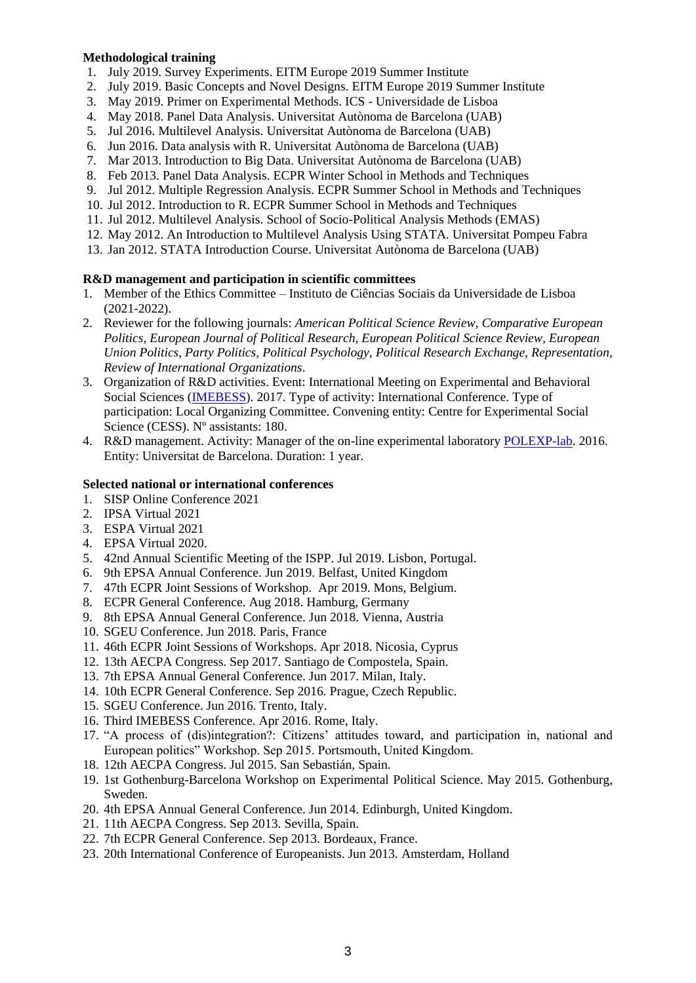#### **Methodological training**

- 1. July 2019. Survey Experiments. EITM Europe 2019 Summer Institute
- 2. July 2019. Basic Concepts and Novel Designs. EITM Europe 2019 Summer Institute
- 3. May 2019. Primer on Experimental Methods. ICS Universidade de Lisboa
- 4. May 2018. Panel Data Analysis. Universitat Autònoma de Barcelona (UAB)
- 5. Jul 2016. Multilevel Analysis. Universitat Autònoma de Barcelona (UAB)
- 6. Jun 2016. Data analysis with R. Universitat Autònoma de Barcelona (UAB)
- 7. Mar 2013. Introduction to Big Data. Universitat Autònoma de Barcelona (UAB)
- 8. Feb 2013. Panel Data Analysis. ECPR Winter School in Methods and Techniques
- 9. Jul 2012. Multiple Regression Analysis. ECPR Summer School in Methods and Techniques
- 10. Jul 2012. Introduction to R. ECPR Summer School in Methods and Techniques
- 11. Jul 2012. Multilevel Analysis. School of Socio-Political Analysis Methods (EMAS)
- 12. May 2012. An Introduction to Multilevel Analysis Using STATA. Universitat Pompeu Fabra
- 13. Jan 2012. STATA Introduction Course. Universitat Autònoma de Barcelona (UAB)

## **R&D management and participation in scientific committees**

- 1. Member of the Ethics Committee Instituto de Ciências Sociais da Universidade de Lisboa (2021-2022).
- 2. Reviewer for the following journals: *American Political Science Review, Comparative European Politics, European Journal of Political Research, European Political Science Review, European Union Politics, Party Politics, Political Psychology, Political Research Exchange, Representation, Review of International Organizations*.
- 3. Organization of R&D activities. Event: International Meeting on Experimental and Behavioral Social Sciences [\(IMEBESS\)](https://imebess.org/2017/). 2017. Type of activity: International Conference. Type of participation: Local Organizing Committee. Convening entity: Centre for Experimental Social Science (CESS). Nº assistants: 180.
- 4. R&D management. Activity: Manager of the on-line experimental laboratory [POLEXP-lab.](http://www.ub.edu/polexp/lab-cast/) 2016. Entity: Universitat de Barcelona. Duration: 1 year.

#### **Selected national or international conferences**

- 1. SISP Online Conference 2021
- 2. IPSA Virtual 2021
- 3. ESPA Virtual 2021
- 4. EPSA Virtual 2020.
- 5. 42nd Annual Scientific Meeting of the ISPP. Jul 2019. Lisbon, Portugal.
- 6. 9th EPSA Annual Conference. Jun 2019. Belfast, United Kingdom
- 7. 47th ECPR Joint Sessions of Workshop. Apr 2019. Mons, Belgium.
- 8. ECPR General Conference. Aug 2018. Hamburg, Germany
- 9. 8th EPSA Annual General Conference. Jun 2018. Vienna, Austria
- 10. SGEU Conference. Jun 2018. Paris, France
- 11. 46th ECPR Joint Sessions of Workshops. Apr 2018. Nicosia, Cyprus
- 12. 13th AECPA Congress. Sep 2017. Santiago de Compostela, Spain.
- 13. 7th EPSA Annual General Conference. Jun 2017. Milan, Italy.
- 14. 10th ECPR General Conference. Sep 2016. Prague, Czech Republic.
- 15. SGEU Conference. Jun 2016. Trento, Italy.
- 16. Third IMEBESS Conference. Apr 2016. Rome, Italy.
- 17. "A process of (dis)integration?: Citizens' attitudes toward, and participation in, national and European politics" Workshop. Sep 2015. Portsmouth, United Kingdom.
- 18. 12th AECPA Congress. Jul 2015. San Sebastián, Spain.
- 19. 1st Gothenburg-Barcelona Workshop on Experimental Political Science. May 2015. Gothenburg, Sweden.
- 20. 4th EPSA Annual General Conference. Jun 2014. Edinburgh, United Kingdom.
- 21. 11th AECPA Congress. Sep 2013. Sevilla, Spain.
- 22. 7th ECPR General Conference. Sep 2013. Bordeaux, France.
- 23. 20th International Conference of Europeanists. Jun 2013. Amsterdam, Holland